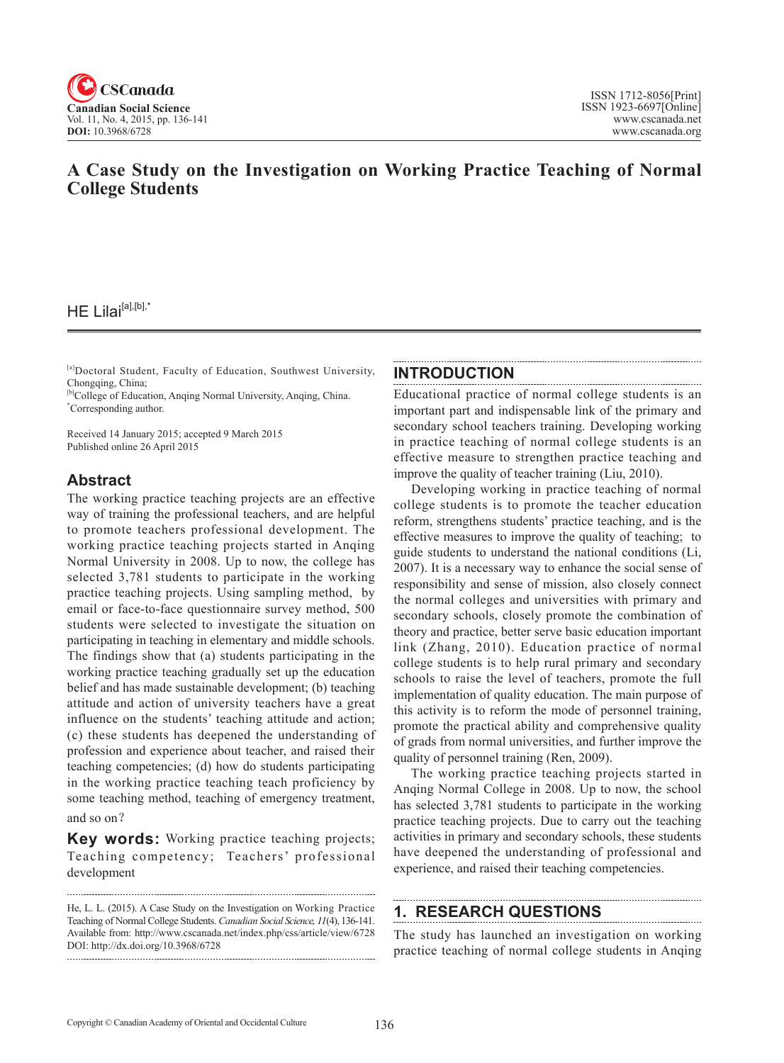

# **A Case Study on the Investigation on Working Practice Teaching of Normal College Students**

 $HE Lilai<sup>[a],[b],*}</sup>$ 

[a]Doctoral Student, Faculty of Education, Southwest University, Chongqing, China;

[b]College of Education, Anqing Normal University, Anqing, China. \* Corresponding author.

Received 14 January 2015; accepted 9 March 2015 Published online 26 April 2015

### **Abstract**

The working practice teaching projects are an effective way of training the professional teachers, and are helpful to promote teachers professional development. The working practice teaching projects started in Anqing Normal University in 2008. Up to now, the college has selected 3,781 students to participate in the working practice teaching projects. Using sampling method, by email or face-to-face questionnaire survey method, 500 students were selected to investigate the situation on participating in teaching in elementary and middle schools. The findings show that (a) students participating in the working practice teaching gradually set up the education belief and has made sustainable development; (b) teaching attitude and action of university teachers have a great influence on the students' teaching attitude and action; (c) these students has deepened the understanding of profession and experience about teacher, and raised their teaching competencies; (d) how do students participating in the working practice teaching teach proficiency by some teaching method, teaching of emergency treatment, and so on?

**Key words:** Working practice teaching projects; Teaching competency; Teachers' professional development

### **INTRODUCTION**

Educational practice of normal college students is an important part and indispensable link of the primary and secondary school teachers training. Developing working in practice teaching of normal college students is an effective measure to strengthen practice teaching and improve the quality of teacher training (Liu, 2010).

Developing working in practice teaching of normal college students is to promote the teacher education reform, strengthens students' practice teaching, and is the effective measures to improve the quality of teaching; to guide students to understand the national conditions (Li, 2007). It is a necessary way to enhance the social sense of responsibility and sense of mission, also closely connect the normal colleges and universities with primary and secondary schools, closely promote the combination of theory and practice, better serve basic education important link (Zhang, 2010). Education practice of normal college students is to help rural primary and secondary schools to raise the level of teachers, promote the full implementation of quality education. The main purpose of this activity is to reform the mode of personnel training, promote the practical ability and comprehensive quality of grads from normal universities, and further improve the quality of personnel training (Ren, 2009).

The working practice teaching projects started in Anqing Normal College in 2008. Up to now, the school has selected 3,781 students to participate in the working practice teaching projects. Due to carry out the teaching activities in primary and secondary schools, these students have deepened the understanding of professional and experience, and raised their teaching competencies.

# **1. RESEARCH QUESTIONS**

The study has launched an investigation on working practice teaching of normal college students in Anqing

He, L. L. (2015). A Case Study on the Investigation on Working Practice Teaching of Normal College Students. *Canadian Social Science*, <sup>11</sup>(4), 136-141. Available from: http://www.cscanada.net/index.php/css/article/view/6728 DOI: http://dx.doi.org/10.3968/6728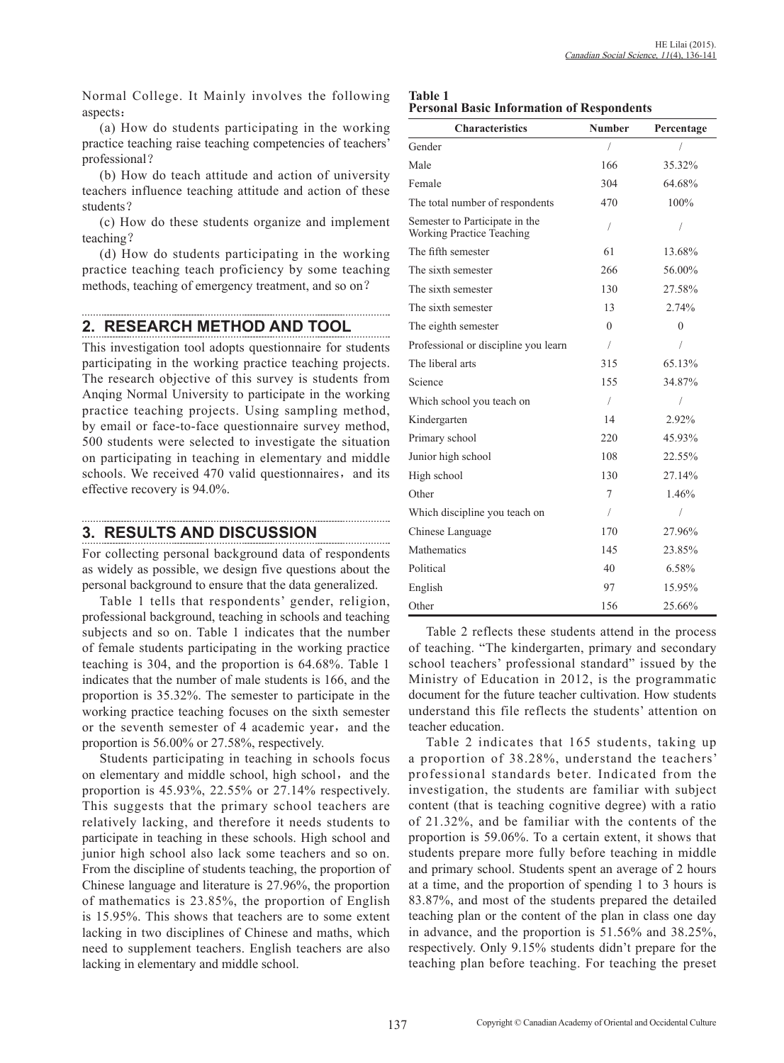Normal College. It Mainly involves the following aspects:

(a) How do students participating in the working practice teaching raise teaching competencies of teachers' professional?

(b) How do teach attitude and action of university teachers influence teaching attitude and action of these students?

(c) How do these students organize and implement teaching?

(d) How do students participating in the working practice teaching teach proficiency by some teaching methods, teaching of emergency treatment, and so on?

### **2. RESEARCH METHOD AND TOOL**

This investigation tool adopts questionnaire for students participating in the working practice teaching projects. The research objective of this survey is students from Anqing Normal University to participate in the working practice teaching projects. Using sampling method, by email or face-to-face questionnaire survey method, 500 students were selected to investigate the situation on participating in teaching in elementary and middle schools. We received 470 valid questionnaires, and its effective recovery is 94.0%.

## **3. RESULTS AND DISCUSSION**

For collecting personal background data of respondents as widely as possible, we design five questions about the personal background to ensure that the data generalized.

Table 1 tells that respondents' gender, religion, professional background, teaching in schools and teaching subjects and so on. Table 1 indicates that the number of female students participating in the working practice teaching is 304, and the proportion is 64.68%. Table 1 indicates that the number of male students is 166, and the proportion is 35.32%. The semester to participate in the working practice teaching focuses on the sixth semester or the seventh semester of 4 academic year, and the proportion is 56.00% or 27.58%, respectively.

Students participating in teaching in schools focus on elementary and middle school, high school, and the proportion is 45.93%, 22.55% or 27.14% respectively. This suggests that the primary school teachers are relatively lacking, and therefore it needs students to participate in teaching in these schools. High school and junior high school also lack some teachers and so on. From the discipline of students teaching, the proportion of Chinese language and literature is 27.96%, the proportion of mathematics is 23.85%, the proportion of English is 15.95%. This shows that teachers are to some extent lacking in two disciplines of Chinese and maths, which need to supplement teachers. English teachers are also lacking in elementary and middle school.

| <b>Table 1</b> |  |                                                  |
|----------------|--|--------------------------------------------------|
|                |  | <b>Personal Basic Information of Respondents</b> |

| <b>Characteristics</b>                                             | <b>Number</b> | Percentage |
|--------------------------------------------------------------------|---------------|------------|
| Gender                                                             | /             | 7          |
| Male                                                               | 166           | 35.32%     |
| Female                                                             | 304           | 64.68%     |
| The total number of respondents                                    | 470           | 100%       |
| Semester to Participate in the<br><b>Working Practice Teaching</b> | 1             |            |
| The fifth semester                                                 | 61            | 13.68%     |
| The sixth semester                                                 | 266           | 56.00%     |
| The sixth semester                                                 | 130           | 27.58%     |
| The sixth semester                                                 | 13            | 2.74%      |
| The eighth semester                                                | $\Omega$      | $\Omega$   |
| Professional or discipline you learn                               | $\sqrt{2}$    | 1          |
| The liberal arts                                                   | 315           | 65.13%     |
| Science                                                            | 155           | 34.87%     |
| Which school you teach on                                          | T             | 1          |
| Kindergarten                                                       | 14            | 2.92%      |
| Primary school                                                     | 220           | 45.93%     |
| Junior high school                                                 | 108           | 22.55%     |
| High school                                                        | 130           | 27.14%     |
| Other                                                              | 7             | 1.46%      |
| Which discipline you teach on                                      | 7             | 1          |
| Chinese Language                                                   | 170           | 27.96%     |
| Mathematics                                                        | 145           | 23.85%     |
| Political                                                          | 40            | 6.58%      |
| English                                                            | 97            | 15.95%     |
| Other                                                              | 156           | 25.66%     |

Table 2 reflects these students attend in the process of teaching. "The kindergarten, primary and secondary school teachers' professional standard" issued by the Ministry of Education in 2012, is the programmatic document for the future teacher cultivation. How students understand this file reflects the students' attention on teacher education.

Table 2 indicates that 165 students, taking up a proportion of 38.28%, understand the teachers' professional standards beter. Indicated from the investigation, the students are familiar with subject content (that is teaching cognitive degree) with a ratio of 21.32%, and be familiar with the contents of the proportion is 59.06%. To a certain extent, it shows that students prepare more fully before teaching in middle and primary school. Students spent an average of 2 hours at a time, and the proportion of spending 1 to 3 hours is 83.87%, and most of the students prepared the detailed teaching plan or the content of the plan in class one day in advance, and the proportion is 51.56% and 38.25%, respectively. Only 9.15% students didn't prepare for the teaching plan before teaching. For teaching the preset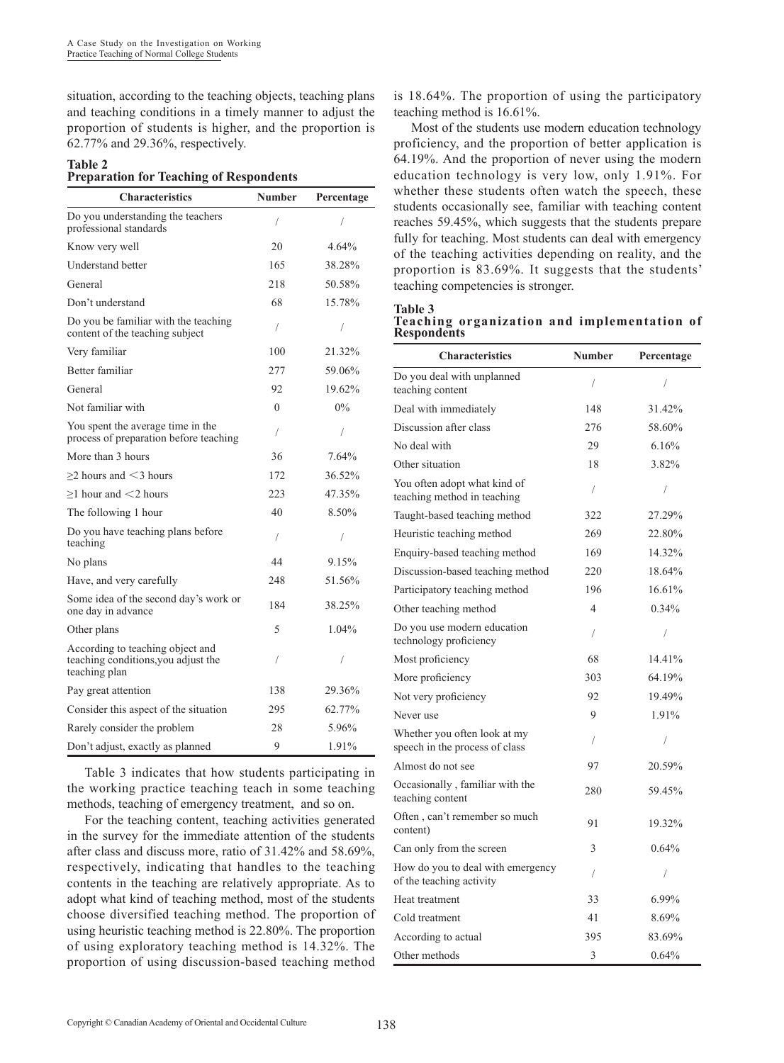situation, according to the teaching objects, teaching plans and teaching conditions in a timely manner to adjust the proportion of students is higher, and the proportion is 62.77% and 29.36%, respectively.

### **Table 2 Preparation for Teaching of Respondents**

| <b>Characteristics</b>                                                                   | <b>Number</b> | Percentage |
|------------------------------------------------------------------------------------------|---------------|------------|
| Do you understanding the teachers<br>professional standards                              | 1             | 1          |
| Know very well                                                                           | 20            | 4.64%      |
| <b>Understand better</b>                                                                 | 165           | 38.28%     |
| General                                                                                  | 218           | 50.58%     |
| Don't understand                                                                         | 68            | 15.78%     |
| Do you be familiar with the teaching<br>content of the teaching subject                  | 1             | 1          |
| Very familiar                                                                            | 100           | 21.32%     |
| Better familiar                                                                          | 277           | 59.06%     |
| General                                                                                  | 92            | 19.62%     |
| Not familiar with                                                                        | $\Omega$      | $0\%$      |
| You spent the average time in the<br>process of preparation before teaching              | 1             | 1          |
| More than 3 hours                                                                        | 36            | 7.64%      |
| $>$ 2 hours and $<$ 3 hours                                                              | 172           | 36.52%     |
| $>1$ hour and $<$ 2 hours                                                                | 223           | 47.35%     |
| The following 1 hour                                                                     | 40            | 8.50%      |
| Do you have teaching plans before<br>teaching                                            | 1             | I          |
| No plans                                                                                 | 44            | 9.15%      |
| Have, and very carefully                                                                 | 248           | 51.56%     |
| Some idea of the second day's work or<br>one day in advance                              | 184           | 38.25%     |
| Other plans                                                                              | 5             | $1.04\%$   |
| According to teaching object and<br>teaching conditions, you adjust the<br>teaching plan | 1             | 1          |
| Pay great attention                                                                      | 138           | 29.36%     |
| Consider this aspect of the situation                                                    | 295           | 62.77%     |
| Rarely consider the problem                                                              | 28            | 5.96%      |
| Don't adjust, exactly as planned                                                         | 9             | 1.91%      |

Table 3 indicates that how students participating in the working practice teaching teach in some teaching methods, teaching of emergency treatment, and so on.

For the teaching content, teaching activities generated in the survey for the immediate attention of the students after class and discuss more, ratio of 31.42% and 58.69%, respectively, indicating that handles to the teaching contents in the teaching are relatively appropriate. As to adopt what kind of teaching method, most of the students choose diversified teaching method. The proportion of using heuristic teaching method is 22.80%. The proportion of using exploratory teaching method is 14.32%. The proportion of using discussion-based teaching method

is 18.64%. The proportion of using the participatory teaching method is 16.61%.

Most of the students use modern education technology proficiency, and the proportion of better application is 64.19%. And the proportion of never using the modern education technology is very low, only 1.91%. For whether these students often watch the speech, these students occasionally see, familiar with teaching content reaches 59.45%, which suggests that the students prepare fully for teaching. Most students can deal with emergency of the teaching activities depending on reality, and the proportion is 83.69%. It suggests that the students' teaching competencies is stronger.

**Table 3**

**Teaching organization and implementation of Respondents**

| <b>Characteristics</b>                                         | <b>Number</b>            | Percentage |
|----------------------------------------------------------------|--------------------------|------------|
| Do you deal with unplanned<br>teaching content                 | 1                        | 1          |
| Deal with immediately                                          | 148                      | 31.42%     |
| Discussion after class                                         | 276                      | 58.60%     |
| No deal with                                                   | 29                       | 6.16%      |
| Other situation                                                | 18                       | 3.82%      |
| You often adopt what kind of<br>teaching method in teaching    | T                        | $\sqrt{2}$ |
| Taught-based teaching method                                   | 322                      | 27.29%     |
| Heuristic teaching method                                      | 269                      | 22.80%     |
| Enquiry-based teaching method                                  | 169                      | 14.32%     |
| Discussion-based teaching method                               | 220                      | 18.64%     |
| Participatory teaching method                                  | 196                      | 16.61%     |
| Other teaching method                                          | $\overline{\mathcal{A}}$ | $0.34\%$   |
| Do you use modern education<br>technology proficiency          | /                        | $\sqrt{2}$ |
| Most proficiency                                               | 68                       | 14.41%     |
| More proficiency                                               | 303                      | 64.19%     |
| Not very proficiency                                           | 92                       | 19.49%     |
| Never use                                                      | 9                        | 1.91%      |
| Whether you often look at my<br>speech in the process of class | /                        | /          |
| Almost do not see                                              | 97                       | 20.59%     |
| Occasionally, familiar with the<br>teaching content            | 280                      | 59.45%     |
| Often, can't remember so much<br>content)                      | 91                       | 19.32%     |
| Can only from the screen                                       | 3                        | 0.64%      |
| How do you to deal with emergency<br>of the teaching activity  | /                        | /          |
| Heat treatment                                                 | 33                       | 6.99%      |
| Cold treatment                                                 | 41                       | 8.69%      |
| According to actual                                            | 395                      | 83.69%     |
| Other methods                                                  | 3                        | 0.64%      |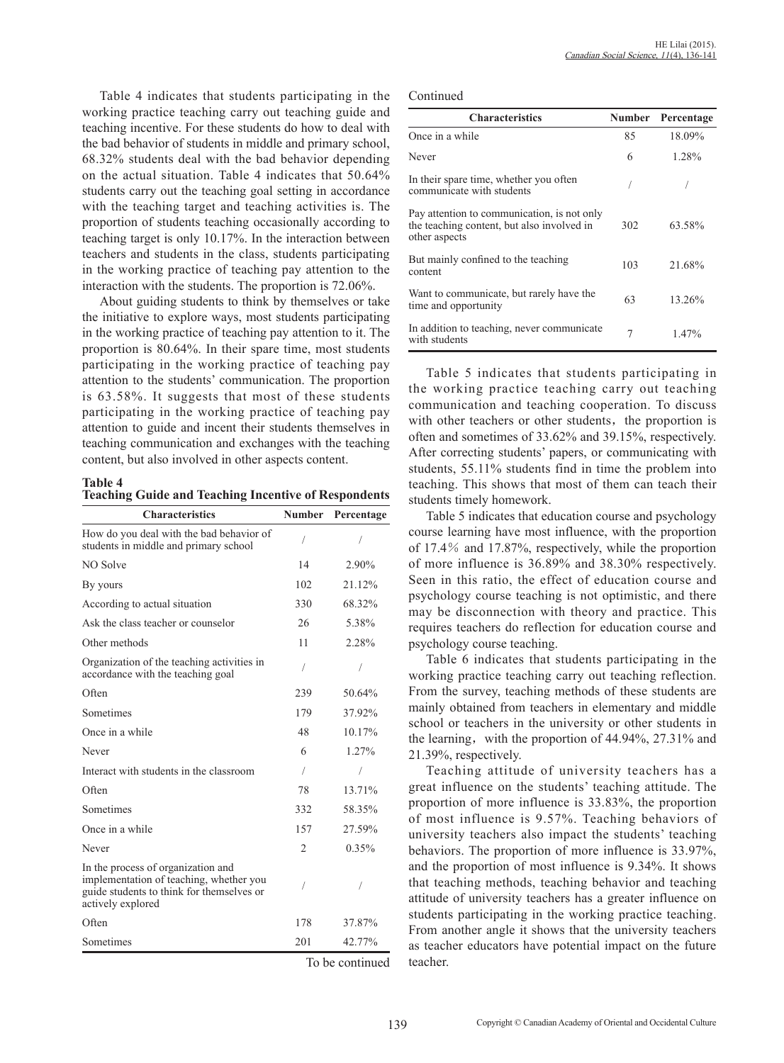Table 4 indicates that students participating in the working practice teaching carry out teaching guide and teaching incentive. For these students do how to deal with the bad behavior of students in middle and primary school, 68.32% students deal with the bad behavior depending on the actual situation. Table 4 indicates that 50.64% students carry out the teaching goal setting in accordance with the teaching target and teaching activities is. The proportion of students teaching occasionally according to teaching target is only 10.17%. In the interaction between teachers and students in the class, students participating in the working practice of teaching pay attention to the interaction with the students. The proportion is 72.06%.

About guiding students to think by themselves or take the initiative to explore ways, most students participating in the working practice of teaching pay attention to it. The proportion is 80.64%. In their spare time, most students participating in the working practice of teaching pay attention to the students' communication. The proportion is 63.58%. It suggests that most of these students participating in the working practice of teaching pay attention to guide and incent their students themselves in teaching communication and exchanges with the teaching content, but also involved in other aspects content.

**Table 4 Teaching Guide and Teaching Incentive of Respondents**

| <b>Characteristics</b>                                                                                                                          | <b>Number</b>  | Percentage      |
|-------------------------------------------------------------------------------------------------------------------------------------------------|----------------|-----------------|
| How do you deal with the bad behavior of<br>students in middle and primary school                                                               | 1              |                 |
| NO Solve                                                                                                                                        | 14             | 2.90%           |
| By yours                                                                                                                                        | 102            | 21.12%          |
| According to actual situation                                                                                                                   | 330            | 68.32%          |
| Ask the class teacher or counselor                                                                                                              | 26             | 5.38%           |
| Other methods                                                                                                                                   | 11             | 2.28%           |
| Organization of the teaching activities in<br>accordance with the teaching goal                                                                 | /              | 1               |
| Often                                                                                                                                           | 239            | 50.64%          |
| Sometimes                                                                                                                                       | 179            | 37.92%          |
| Once in a while                                                                                                                                 | 48             | 10.17%          |
| Never                                                                                                                                           | 6              | 1.27%           |
| Interact with students in the classroom                                                                                                         | 1              | 1               |
| Often                                                                                                                                           | 78             | 13.71%          |
| Sometimes                                                                                                                                       | 332            | 58.35%          |
| Once in a while                                                                                                                                 | 157            | 27.59%          |
| Never                                                                                                                                           | $\overline{c}$ | 0.35%           |
| In the process of organization and<br>implementation of teaching, whether you<br>guide students to think for themselves or<br>actively explored | 7              |                 |
| Often                                                                                                                                           | 178            | 37.87%          |
| Sometimes                                                                                                                                       | 201            | 42.77%          |
|                                                                                                                                                 |                | To be continued |

Continued

| <b>Characteristics</b>                                                                                     | <b>Number</b> | Percentage |
|------------------------------------------------------------------------------------------------------------|---------------|------------|
| Once in a while                                                                                            | 85            | 18.09%     |
| Never                                                                                                      | 6             | 1.28%      |
| In their spare time, whether you often<br>communicate with students                                        |               |            |
| Pay attention to communication, is not only<br>the teaching content, but also involved in<br>other aspects | 302           | 63.58%     |
| But mainly confined to the teaching<br>content                                                             | 103           | 21.68%     |
| Want to communicate, but rarely have the<br>time and opportunity                                           | 63            | 13.26%     |
| In addition to teaching, never communicate<br>with students                                                | 7             | 1.47%      |

Table 5 indicates that students participating in the working practice teaching carry out teaching communication and teaching cooperation. To discuss with other teachers or other students, the proportion is often and sometimes of 33.62% and 39.15%, respectively. After correcting students' papers, or communicating with students, 55.11% students find in time the problem into teaching. This shows that most of them can teach their students timely homework.

Table 5 indicates that education course and psychology course learning have most influence, with the proportion of 17.4% and 17.87%, respectively, while the proportion of more influence is 36.89% and 38.30% respectively. Seen in this ratio, the effect of education course and psychology course teaching is not optimistic, and there may be disconnection with theory and practice. This requires teachers do reflection for education course and psychology course teaching.

Table 6 indicates that students participating in the working practice teaching carry out teaching reflection. From the survey, teaching methods of these students are mainly obtained from teachers in elementary and middle school or teachers in the university or other students in the learning, with the proportion of  $44.94\%$ ,  $27.31\%$  and 21.39%, respectively.

Teaching attitude of university teachers has a great influence on the students' teaching attitude. The proportion of more influence is 33.83%, the proportion of most influence is 9.57%. Teaching behaviors of university teachers also impact the students' teaching behaviors. The proportion of more influence is 33.97%, and the proportion of most influence is 9.34%. It shows that teaching methods, teaching behavior and teaching attitude of university teachers has a greater influence on students participating in the working practice teaching. From another angle it shows that the university teachers as teacher educators have potential impact on the future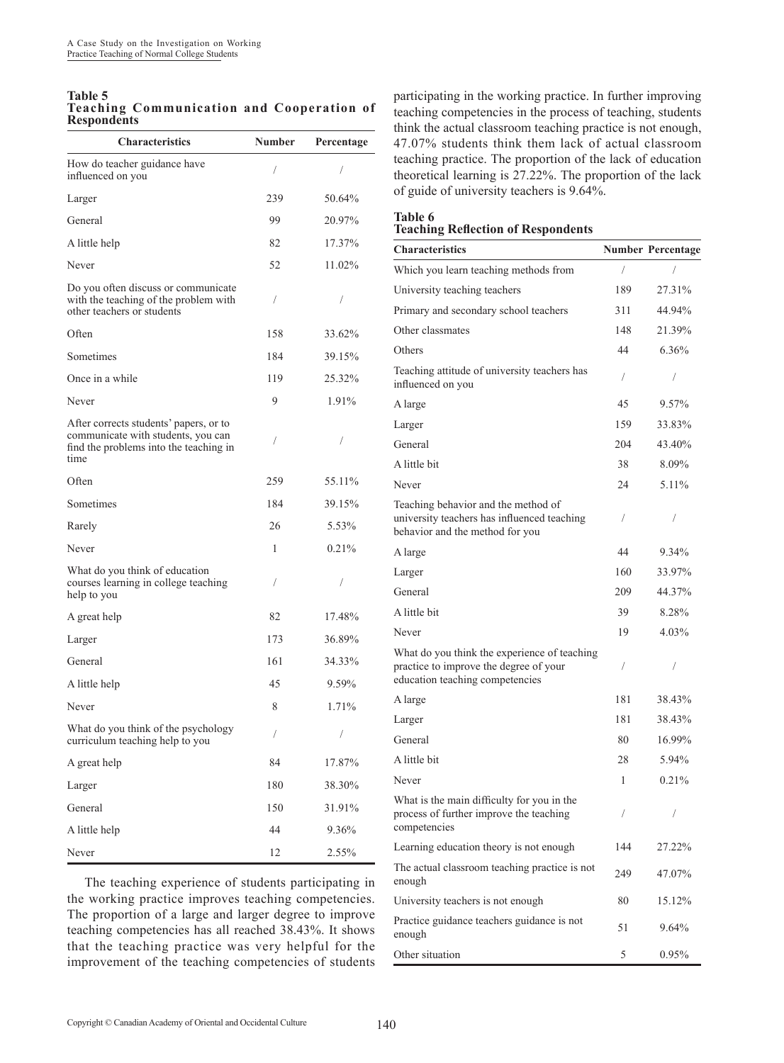#### **Table 5 Teaching Communication and Cooperation of Respondents**  $\overline{\phantom{a}}$

| <b>Characteristics</b>                                                                                                         | Number | Percentage |
|--------------------------------------------------------------------------------------------------------------------------------|--------|------------|
| How do teacher guidance have<br>influenced on you                                                                              | 1      | 7          |
| Larger                                                                                                                         | 239    | 50.64%     |
| General                                                                                                                        | 99     | 20.97%     |
| A little help                                                                                                                  | 82     | 17.37%     |
| Never                                                                                                                          | 52     | 11.02%     |
| Do you often discuss or communicate<br>with the teaching of the problem with<br>other teachers or students                     | T      | 1          |
| Often                                                                                                                          | 158    | 33.62%     |
| Sometimes                                                                                                                      | 184    | 39.15%     |
| Once in a while                                                                                                                | 119    | 25.32%     |
| Never                                                                                                                          | 9      | 1.91%      |
| After corrects students' papers, or to<br>communicate with students, you can<br>find the problems into the teaching in<br>time | T      | 7          |
| Often                                                                                                                          | 259    | 55.11%     |
| Sometimes                                                                                                                      | 184    | 39.15%     |
| Rarely                                                                                                                         | 26     | 5.53%      |
| Never                                                                                                                          | 1      | 0.21%      |
| What do you think of education<br>courses learning in college teaching<br>help to you                                          | 1      |            |
| A great help                                                                                                                   | 82     | 17.48%     |
| Larger                                                                                                                         | 173    | 36.89%     |
| General                                                                                                                        | 161    | 34.33%     |
| A little help                                                                                                                  | 45     | 9.59%      |
| Never                                                                                                                          | 8      | 1.71%      |
| What do you think of the psychology<br>curriculum teaching help to you                                                         | T      | Т          |
| A great help                                                                                                                   | 84     | 17.87%     |
| Larger                                                                                                                         | 180    | 38.30%     |
| General                                                                                                                        | 150    | 31.91%     |
| A little help                                                                                                                  | 44     | 9.36%      |
| Never                                                                                                                          | 12     | 2.55%      |

The teaching experience of students participating in the working practice improves teaching competencies. The proportion of a large and larger degree to improve teaching competencies has all reached 38.43%. It shows that the teaching practice was very helpful for the improvement of the teaching competencies of students participating in the working practice. In further improving teaching competencies in the process of teaching, students think the actual classroom teaching practice is not enough, 47.07% students think them lack of actual classroom teaching practice. The proportion of the lack of education theoretical learning is 27.22%. The proportion of the lack of guide of university teachers is 9.64%.

#### **Table 6 Teaching Reflection of Respondents**

| <b>Characteristics</b>                                                                                                    |            | <b>Number Percentage</b> |
|---------------------------------------------------------------------------------------------------------------------------|------------|--------------------------|
| Which you learn teaching methods from                                                                                     | $\sqrt{2}$ |                          |
| University teaching teachers                                                                                              | 189        | 27.31%                   |
| Primary and secondary school teachers                                                                                     | 311        | 44.94%                   |
| Other classmates                                                                                                          | 148        | 21.39%                   |
| Others                                                                                                                    | 44         | 6.36%                    |
| Teaching attitude of university teachers has<br>influenced on you                                                         | T          | T                        |
| A large                                                                                                                   | 45         | 9.57%                    |
| Larger                                                                                                                    | 159        | 33.83%                   |
| General                                                                                                                   | 204        | 43.40%                   |
| A little bit                                                                                                              | 38         | 8.09%                    |
| Never                                                                                                                     | 24         | 5.11%                    |
| Teaching behavior and the method of<br>university teachers has influenced teaching<br>behavior and the method for you     | T          | 7                        |
| A large                                                                                                                   | 44         | 9.34%                    |
| Larger                                                                                                                    | 160        | 33.97%                   |
| General                                                                                                                   | 209        | 44.37%                   |
| A little bit                                                                                                              | 39         | 8.28%                    |
| Never                                                                                                                     | 19         | 4.03%                    |
| What do you think the experience of teaching<br>practice to improve the degree of your<br>education teaching competencies | T          | /                        |
| A large                                                                                                                   | 181        | 38.43%                   |
| Larger                                                                                                                    | 181        | 38.43%                   |
| General                                                                                                                   | 80         | 16.99%                   |
| A little bit                                                                                                              | 28         | 5.94%                    |
| Never                                                                                                                     | 1          | 0.21%                    |
| What is the main difficulty for you in the<br>process of further improve the teaching<br>competencies                     | 7          | Т                        |
| Learning education theory is not enough                                                                                   | 144        | 27.22%                   |
| The actual classroom teaching practice is not<br>enough                                                                   | 249        | 47.07%                   |
| University teachers is not enough                                                                                         | 80         | 15.12%                   |
| Practice guidance teachers guidance is not<br>enough                                                                      | 51         | 9.64%                    |
| Other situation                                                                                                           | 5          | 0.95%                    |